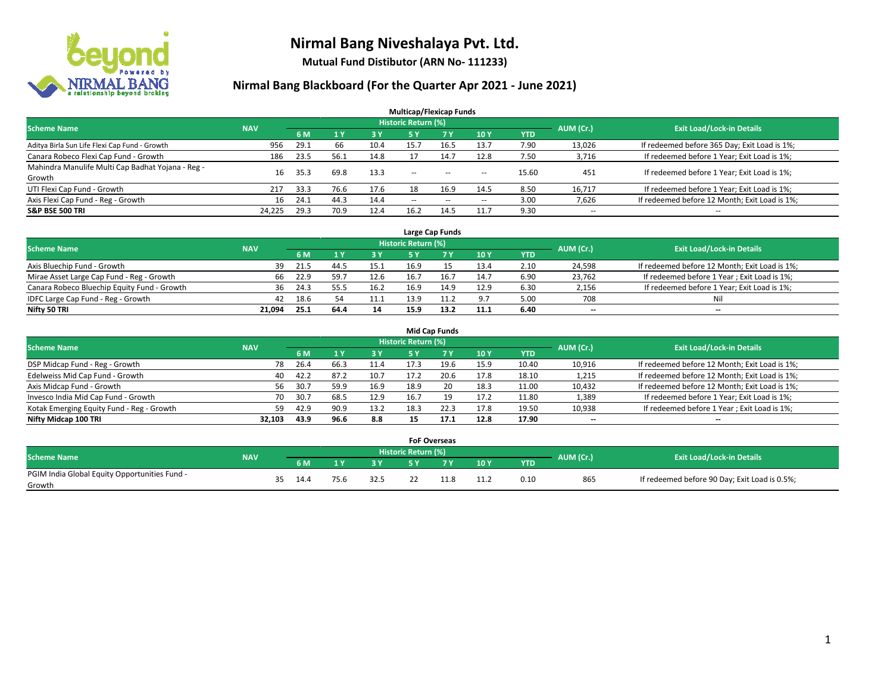

**Mutual Fund Distibutor (ARN No- 111233)**

|                                                   |            |      |                |      | <b>Multicap/Flexicap Funds</b> |           |        |            |                          |                                               |
|---------------------------------------------------|------------|------|----------------|------|--------------------------------|-----------|--------|------------|--------------------------|-----------------------------------------------|
| <b>Scheme Name</b>                                | <b>NAV</b> |      |                |      | <b>Historic Return (%)</b>     |           |        |            | AUM (Cr.)                | <b>Exit Load/Lock-in Details</b>              |
|                                                   |            | 6 M  | 1 <sub>V</sub> | 3 Y  | 5 Y                            | <b>7Y</b> | 10Y    | <b>YTD</b> |                          |                                               |
| Aditya Birla Sun Life Flexi Cap Fund - Growth     | 956        | 29.1 | 66             | 10.4 | 15.7                           | 16.5      | 13.7   | 7.90       | 13,026                   | If redeemed before 365 Day; Exit Load is 1%;  |
| Canara Robeco Flexi Cap Fund - Growth             | 186        | 23.5 | 56.1           | 14.8 |                                | 14.7      | 12.8   | 7.50       | 3,716                    | If redeemed before 1 Year; Exit Load is 1%;   |
| Mahindra Manulife Multi Cap Badhat Yojana - Reg - | 16         | 35.3 | 69.8           | 13.3 | $\overline{\phantom{a}}$       | $\sim$    |        | 15.60      | 451                      | If redeemed before 1 Year; Exit Load is 1%;   |
| Growth                                            |            |      |                |      |                                |           | $\sim$ |            |                          |                                               |
| UTI Flexi Cap Fund - Growth                       | 217        | 33.3 | 76.6           | 17.6 | 18                             | 16.9      | 14.5   | 8.50       | 16,717                   | If redeemed before 1 Year; Exit Load is 1%;   |
| Axis Flexi Cap Fund - Reg - Growth                | 16         | 24.1 | 44.3           | 14.4 | $\overline{\phantom{a}}$       | $-$       | --     | 3.00       | 7,626                    | If redeemed before 12 Month; Exit Load is 1%; |
| <b>S&amp;P BSE 500 TRI</b>                        | 24,225     | 29.3 | 70.9           | 12.4 | 16.2                           | 14.5      | 11.7   | 9.30       | $\overline{\phantom{a}}$ | $- -$                                         |

|                                             |            |                                  |      |      |      | Large Cap Funds |      |      |        |                                               |
|---------------------------------------------|------------|----------------------------------|------|------|------|-----------------|------|------|--------|-----------------------------------------------|
| <b>Scheme Name</b>                          | AUM (Cr.)  | <b>Exit Load/Lock-in Details</b> |      |      |      |                 |      |      |        |                                               |
|                                             | <b>NAV</b> | 6 M                              |      | 3Y   |      | 7 Y             | 10Y  | YTD  |        |                                               |
| Axis Bluechip Fund - Growth                 | 39         | 21.5                             | 44.5 | 15.1 | 16.9 |                 | 13.4 | 2.10 | 24,598 | If redeemed before 12 Month; Exit Load is 1%; |
| Mirae Asset Large Cap Fund - Reg - Growth   | 66         | 22.9                             | 59.7 | 12.6 | 16.7 | 16.7            | 14.7 | 6.90 | 23,762 | If redeemed before 1 Year; Exit Load is 1%;   |
| Canara Robeco Bluechip Equity Fund - Growth | 36         | 24.3                             | 55.5 | 16.2 | 16.9 | 14.9            | 12.9 | 6.30 | 2,156  | If redeemed before 1 Year; Exit Load is 1%;   |
| IDFC Large Cap Fund - Reg - Growth          | 42         | 18.6                             |      | 11.1 | 13.9 | 11.2            | 9.7  | 5.00 | 708    | Nil                                           |
| Nifty 50 TRI                                | 21.094     | 25.1                             | 64.4 | 14   | 15.9 | 13.2            | 11.1 | 6.40 | $- -$  | $\overline{\phantom{a}}$                      |

|                                           |            |                                  |      |           |      | <b>Mid Cap Funds</b> |      |            |                          |                                               |
|-------------------------------------------|------------|----------------------------------|------|-----------|------|----------------------|------|------------|--------------------------|-----------------------------------------------|
| <b>Scheme Name</b>                        | AUM (Cr.)  | <b>Exit Load/Lock-in Details</b> |      |           |      |                      |      |            |                          |                                               |
|                                           | <b>NAV</b> | 6 M                              |      | <b>3Y</b> | 5 Y  |                      | 10Y  | <b>YTD</b> |                          |                                               |
| DSP Midcap Fund - Reg - Growth            |            | 26.4<br>78                       | 66.3 | 11.4      | 17.3 | 19.6                 | 15.9 | 10.40      | 10,916                   | If redeemed before 12 Month; Exit Load is 1%; |
| Edelweiss Mid Cap Fund - Growth           |            | 42.2<br>40                       | 87.2 | 10.7      | 17.2 | 20.6                 | 17.8 | 18.10      | 1,215                    | If redeemed before 12 Month; Exit Load is 1%; |
| Axis Midcap Fund - Growth                 |            | 30.7<br>56                       | 59.9 | 16.9      | 18.9 | 20                   | 18.3 | 11.00      | 10,432                   | If redeemed before 12 Month; Exit Load is 1%; |
| Invesco India Mid Cap Fund - Growth       |            | 30.7<br>70                       | 68.5 | 12.9      | 16.7 | 19                   | 17.2 | 11.80      | 1,389                    | If redeemed before 1 Year; Exit Load is 1%;   |
| Kotak Emerging Equity Fund - Reg - Growth |            | 42.9<br>59                       | 90.9 | 13.2      | 18.3 | 22.3                 | 17.8 | 19.50      | 10,938                   | If redeemed before 1 Year; Exit Load is 1%;   |
| Nifty Midcap 100 TRI                      | 32.103     | 43.9                             | 96.6 | 8.8       | 15   | 17.1                 | 12.8 | 17.90      | $\overline{\phantom{m}}$ | $\overline{\phantom{a}}$                      |

|                                                         |            |    |      |      |      |                            | <b>FoF Overseas</b> |            |            |           |                                               |
|---------------------------------------------------------|------------|----|------|------|------|----------------------------|---------------------|------------|------------|-----------|-----------------------------------------------|
| Scheme Name                                             | <b>NAV</b> |    |      |      |      | <b>Historic Return (%)</b> |                     |            |            | AUM (Cr.) | <b>Exit Load/Lock-in Details</b>              |
|                                                         |            |    | 6 M  |      | o v  |                            | 7 V                 | 10Y        | <b>YTD</b> |           |                                               |
| PGIM India Global Equity Opportunities Fund -<br>Growth |            | 35 | 14.4 | 75.6 | 32.5 |                            |                     | . <i>.</i> | 0.10       | 865       | If redeemed before 90 Day; Exit Load is 0.5%; |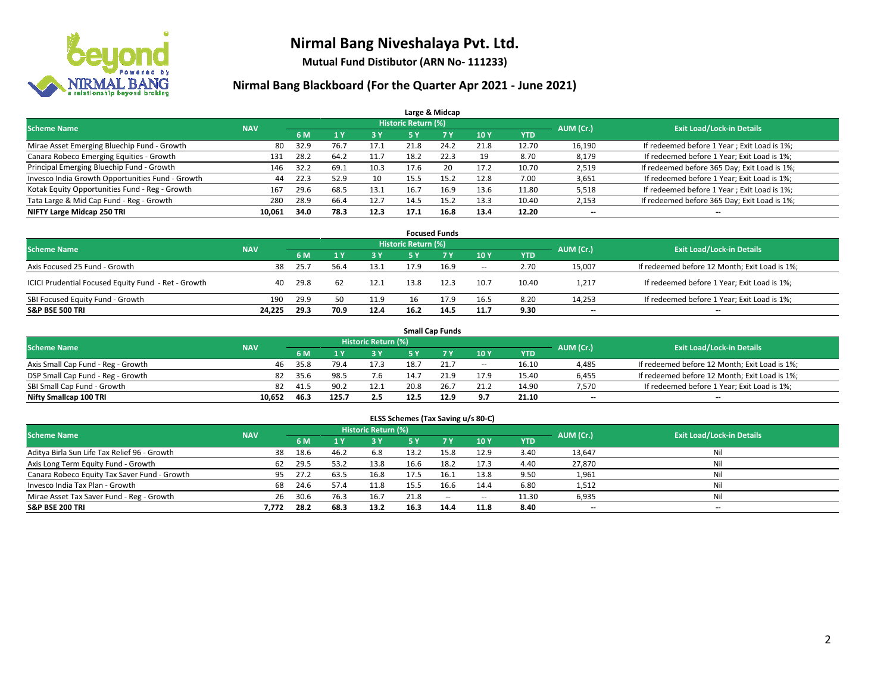

**Mutual Fund Distibutor (ARN No- 111233)**

|                                                  |            |      |      |            |                            | Large & Midcap |      |            |           |                                              |
|--------------------------------------------------|------------|------|------|------------|----------------------------|----------------|------|------------|-----------|----------------------------------------------|
| <b>Scheme Name</b>                               | <b>NAV</b> |      |      |            | <b>Historic Return (%)</b> |                |      |            | AUM (Cr.) | <b>Exit Load/Lock-in Details</b>             |
|                                                  |            | 6 M  |      | <b>3 Y</b> | 5 Y                        | 7 Y            | 10Y  | <b>YTD</b> |           |                                              |
| Mirae Asset Emerging Bluechip Fund - Growth      | 80         | 32.9 | 76.7 | 17.1       | 21.8                       | 24.2           | 21.8 | 12.70      | 16,190    | If redeemed before 1 Year; Exit Load is 1%;  |
| Canara Robeco Emerging Equities - Growth         | 131        | 28.2 | 64.2 | 11.7       | 18.2                       | 22.3           | 19   | 8.70       | 8,179     | If redeemed before 1 Year; Exit Load is 1%;  |
| Principal Emerging Bluechip Fund - Growth        | 146        | 32.2 | 69.1 | 10.3       | 17.6                       | 20             | 17.2 | 10.70      | 2,519     | If redeemed before 365 Day; Exit Load is 1%; |
| Invesco India Growth Opportunities Fund - Growth | 44         | 22.3 | 52.9 | 10         | 15.5                       | 15.2           | 12.8 | 7.00       | 3,651     | If redeemed before 1 Year; Exit Load is 1%;  |
| Kotak Equity Opportunities Fund - Reg - Growth   | 167        | 29.6 | 68.5 | 13.1       | 16.7                       | 16.9           | 13.6 | 11.80      | 5,518     | If redeemed before 1 Year; Exit Load is 1%;  |
| Tata Large & Mid Cap Fund - Reg - Growth         | 280        | 28.9 | 66.4 | 12.7       | 14.5                       | 15.2           | 13.3 | 10.40      | 2,153     | If redeemed before 365 Day; Exit Load is 1%; |
| NIFTY Large Midcap 250 TRI                       | 10,061     | 34.0 | 78.3 | 12.3       | 17.1                       | 16.8           | 13.4 | 12.20      | --        | --                                           |

|                                                     |            |      |      |      |                     | <b>Focused Funds</b> |        |            |           |                                               |
|-----------------------------------------------------|------------|------|------|------|---------------------|----------------------|--------|------------|-----------|-----------------------------------------------|
| <b>Scheme Name</b>                                  | <b>NAV</b> |      |      |      | Historic Return (%) |                      |        |            | AUM (Cr.) |                                               |
|                                                     |            | 6 M  |      | 3 Y  | 5 Y                 |                      | 10Y    | <b>YTD</b> |           | <b>Exit Load/Lock-in Details</b>              |
| Axis Focused 25 Fund - Growth                       | 38         | 25.7 | 56.4 | 13.1 | 17.9                | 16.9                 | $\sim$ | 2.70       | 15,007    | If redeemed before 12 Month; Exit Load is 1%; |
| ICICI Prudential Focused Equity Fund - Ret - Growth | 40         | 29.8 | 62   | 12.1 | 13.8                | 12.3                 | 10.7   | 10.40      | 1,217     | If redeemed before 1 Year; Exit Load is 1%;   |
| SBI Focused Equity Fund - Growth                    | 190        | 29.9 | 50   | 11.9 | 16                  | 17.9                 | 16.5   | 8.20       | 14,253    | If redeemed before 1 Year; Exit Load is 1%;   |
| <b>S&amp;P BSE 500 TRI</b>                          | 24.225     | 29.3 | 70.9 | 12.4 | 16.2                | 14.5                 | 11.7   | 9.30       | $- -$     | $\overline{\phantom{a}}$                      |

|                                    |            |      |       |                     |      | <b>Small Cap Funds</b> |                          |            |           |                                               |
|------------------------------------|------------|------|-------|---------------------|------|------------------------|--------------------------|------------|-----------|-----------------------------------------------|
| <b>Scheme Name</b>                 | <b>NAV</b> |      |       | Historic Return (%) |      |                        |                          |            | AUM (Cr.) | <b>Exit Load/Lock-in Details</b>              |
|                                    |            | 6 M  |       | 3 Y                 |      |                        | 10Y                      | <b>YTD</b> |           |                                               |
| Axis Small Cap Fund - Reg - Growth | 46         | 35.8 | 79.4  | 17.3                | 18.7 | 21.                    | $\overline{\phantom{a}}$ | 16.10      | 4,485     | If redeemed before 12 Month; Exit Load is 1%; |
| DSP Small Cap Fund - Reg - Growth  | 82         | 35.6 | 98.5  | 7.6                 | 14.7 | 21.9                   | 17.9                     | 15.40      | 6,455     | If redeemed before 12 Month; Exit Load is 1%; |
| SBI Small Cap Fund - Growth        | 82         | 41.5 | 90.2  | 12.1                | 20.8 |                        | 21.2                     | 14.90      | 7,570     | If redeemed before 1 Year; Exit Load is 1%;   |
| Nifty Smallcap 100 TRI             | 10.652     | 46.3 | 125.7 | 2.5                 | 12.5 | 12.9                   | 9.7                      | 21.10      | $- -$     | $\overline{\phantom{a}}$                      |

| ELSS Schemes (Tax Saving u/s 80-C)           |            |      |                |                            |           |            |        |            |           |                                  |  |  |  |
|----------------------------------------------|------------|------|----------------|----------------------------|-----------|------------|--------|------------|-----------|----------------------------------|--|--|--|
| <b>Scheme Name</b>                           | <b>NAV</b> |      |                | <b>Historic Return (%)</b> |           |            |        |            | AUM (Cr.) | <b>Exit Load/Lock-in Details</b> |  |  |  |
|                                              |            | 6 M  | 1 <sup>1</sup> | 3 Y                        | <b>5Y</b> | <b>7 Y</b> | 10Y    | <b>YTD</b> |           |                                  |  |  |  |
| Aditya Birla Sun Life Tax Relief 96 - Growth | 38         | 18.6 | 46.2           | 6.8                        | 13.2      | 15.8       | 12.9   | 3.40       | 13,647    | Nil                              |  |  |  |
| Axis Long Term Equity Fund - Growth          | 62         | 29.5 | 53.2           | 13.8                       | 16.6      | 18.2       | 17.3   | 4.40       | 27,870    | Nil                              |  |  |  |
| Canara Robeco Equity Tax Saver Fund - Growth | 95         | 27.2 | 63.5           | 16.8                       | 17.5      | 16.1       | 13.8   | 9.50       | 1,961     | Nil                              |  |  |  |
| Invesco India Tax Plan - Growth              | 68         | 24.6 | 57.4           | 11.8                       | 15.5      | 16.6       | 14.4   | 6.80       | 1,512     | Nil                              |  |  |  |
| Mirae Asset Tax Saver Fund - Reg - Growth    | 26         | 30.6 | 76.3           | 16.7                       | 21.8      | $\sim$     | $\sim$ | 11.30      | 6,935     | Nil                              |  |  |  |
| S&P BSE 200 TRI                              | 7,772      | 28.2 | 68.3           | 13.2                       | 16.3      | 14.4       | 11.8   | 8.40       | $- -$     | $-$                              |  |  |  |
|                                              |            |      |                |                            |           |            |        |            |           |                                  |  |  |  |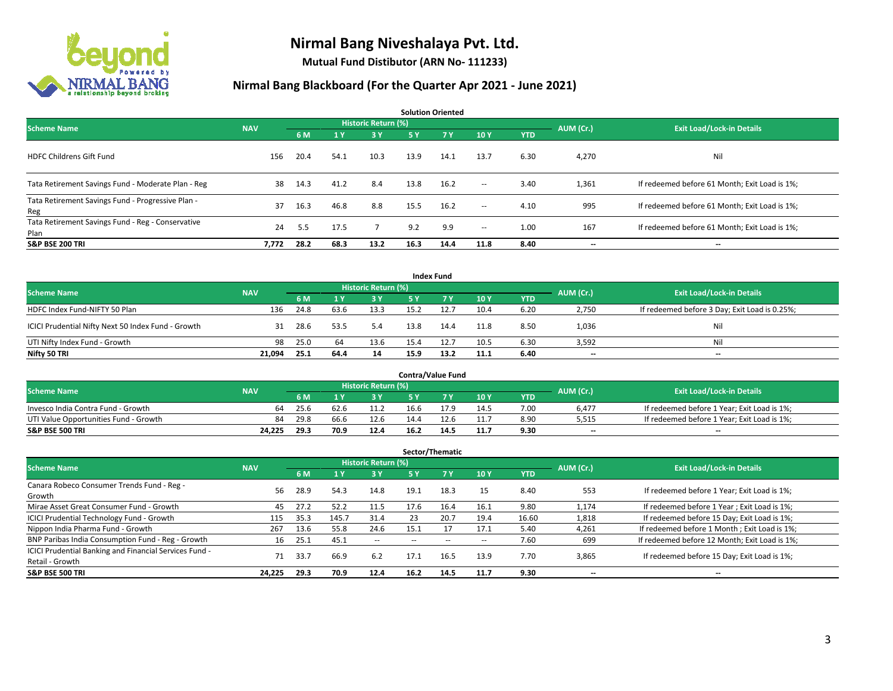

**Mutual Fund Distibutor (ARN No- 111233)**

|                                                           |            |      |      |                            |      | <b>Solution Oriented</b> |                          |            |           |                                               |
|-----------------------------------------------------------|------------|------|------|----------------------------|------|--------------------------|--------------------------|------------|-----------|-----------------------------------------------|
| <b>Scheme Name</b>                                        | <b>NAV</b> |      |      | <b>Historic Return (%)</b> |      |                          |                          |            | AUM (Cr.) | <b>Exit Load/Lock-in Details</b>              |
|                                                           |            | 6 M  | 1 Y  | 3 Y                        | 5 Y  | <b>7Y</b>                | 10Y                      | <b>YTD</b> |           |                                               |
| <b>HDFC Childrens Gift Fund</b>                           | 156        | 20.4 | 54.1 | 10.3                       | 13.9 | 14.1                     | 13.7                     | 6.30       | 4,270     | Nil                                           |
| Tata Retirement Savings Fund - Moderate Plan - Reg        | 38         | 14.3 | 41.2 | 8.4                        | 13.8 | 16.2                     | $\sim$ $\sim$            | 3.40       | 1,361     | If redeemed before 61 Month; Exit Load is 1%; |
| Tata Retirement Savings Fund - Progressive Plan -<br>Reg  | 37         | 16.3 | 46.8 | 8.8                        | 15.5 | 16.2                     | $ -$                     | 4.10       | 995       | If redeemed before 61 Month; Exit Load is 1%; |
| Tata Retirement Savings Fund - Reg - Conservative<br>Plan | 24         | 5.5  | 17.5 |                            | 9.2  | 9.9                      | $\overline{\phantom{a}}$ | 1.00       | 167       | If redeemed before 61 Month; Exit Load is 1%; |
| <b>S&amp;P BSE 200 TRI</b>                                | 7,772      | 28.2 | 68.3 | 13.2                       | 16.3 | 14.4                     | 11.8                     | 8.40       | --        | --                                            |

|                                                    |            |            |      |                     |      | <b>Index Fund</b> |      |            |                          |                                               |
|----------------------------------------------------|------------|------------|------|---------------------|------|-------------------|------|------------|--------------------------|-----------------------------------------------|
| <b>Scheme Name</b>                                 | <b>NAV</b> |            |      | Historic Return (%) |      |                   |      |            | AUM (Cr.)                | <b>Exit Load/Lock-in Details</b>              |
|                                                    |            | 6 M        |      | $-3V$               | 5 Y  | <b>7Y</b>         | 10Y  | <b>YTD</b> |                          |                                               |
| HDFC Index Fund-NIFTY 50 Plan                      | 136        | 24.8       | 63.6 | 13.3                | 15.2 | 12.7              | 10.4 | 6.20       | 2,750                    | If redeemed before 3 Day; Exit Load is 0.25%; |
| ICICI Prudential Nifty Next 50 Index Fund - Growth |            | 28.6<br>31 | 53.5 | 5.4                 | 13.8 | 14.4              | 11.8 | 8.50       | 1,036                    | Nil                                           |
| UTI Nifty Index Fund - Growth                      |            | 25.0<br>98 | 64   | 13.6                | 15.4 | 12.7              | 10.5 | 6.30       | 3,592                    | Nil                                           |
| Nifty 50 TRI                                       | 21,094     | 25.1       | 64.4 | 14                  | 15.9 | 13.2              | 11.1 | 6.40       | $\overline{\phantom{a}}$ | $\overline{\phantom{a}}$                      |

|                                       |            |      |      |                     |      | <b>Contra/Value Fund</b> |      |      |           |                                             |
|---------------------------------------|------------|------|------|---------------------|------|--------------------------|------|------|-----------|---------------------------------------------|
| <b>Scheme Name</b>                    | <b>NAV</b> |      |      | Historic Return (%) |      |                          |      |      | AUM (Cr.) | <b>Exit Load/Lock-in Details</b>            |
|                                       |            | 6 M  |      | 3 Y                 |      |                          | 10Y  | YTD  |           |                                             |
| Invesco India Contra Fund - Growth    | 64         | 25.6 | 62.E | 11.2                | 16.6 |                          | 14.5 | 7.00 | 6,477     | If redeemed before 1 Year; Exit Load is 1%; |
| UTI Value Opportunities Fund - Growth | 84         | 29.8 | 66.6 | 12.6                | 14.4 |                          | 11.7 | 8.90 | 5,515     | If redeemed before 1 Year; Exit Load is 1%; |
| <b>S&amp;P BSE 500 TRI</b>            | 24.225     | 29.3 | 70.9 | 12.4                | 16.2 | 14.5                     | 11.7 | 9.30 | $- -$     | $\overline{\phantom{a}}$                    |

|                                                                           |            |      |                         |                            |      | Sector/Thematic |      |            |           |                                               |
|---------------------------------------------------------------------------|------------|------|-------------------------|----------------------------|------|-----------------|------|------------|-----------|-----------------------------------------------|
| <b>Scheme Name</b>                                                        | <b>NAV</b> |      |                         | <b>Historic Return (%)</b> |      |                 |      |            | AUM (Cr.) | <b>Exit Load/Lock-in Details</b>              |
|                                                                           |            | 6 M  | $\mathbf{1} \mathbf{y}$ | <b>3Y</b>                  | 5 Y  | 7 Y             | 10Y  | <b>YTD</b> |           |                                               |
| Canara Robeco Consumer Trends Fund - Reg -<br>Growth                      | 56         | 28.9 | 54.3                    | 14.8                       | 19.1 | 18.3            | 15   | 8.40       | 553       | If redeemed before 1 Year; Exit Load is 1%;   |
| Mirae Asset Great Consumer Fund - Growth                                  | 45         | 27.2 | 52.2                    | 11.5                       | 17.6 | 16.4            | 16.1 | 9.80       | 1.174     | If redeemed before 1 Year; Exit Load is 1%;   |
| ICICI Prudential Technology Fund - Growth                                 | 115        | 35.3 | 145.7                   | 31.4                       | 23   | 20.7            | 19.4 | 16.60      | 1,818     | If redeemed before 15 Day; Exit Load is 1%;   |
| Nippon India Pharma Fund - Growth                                         | 267        | 13.6 | 55.8                    | 24.6                       | 15.1 | 17              | 17.1 | 5.40       | 4,261     | If redeemed before 1 Month; Exit Load is 1%;  |
| BNP Paribas India Consumption Fund - Reg - Growth                         | 16         | 25.1 | 45.1                    | $\sim$                     | --   | --              | --   | 7.60       | 699       | If redeemed before 12 Month; Exit Load is 1%; |
| ICICI Prudential Banking and Financial Services Fund -<br>Retail - Growth | 71         | 33.7 | 66.9                    | 6.2                        | 17.1 | 16.5            | 13.9 | 7.70       | 3,865     | If redeemed before 15 Day; Exit Load is 1%;   |
| <b>S&amp;P BSE 500 TRI</b>                                                | 24.225     | 29.3 | 70.9                    | 12.4                       | 16.2 | 14.5            | 11.7 | 9.30       | --        | --                                            |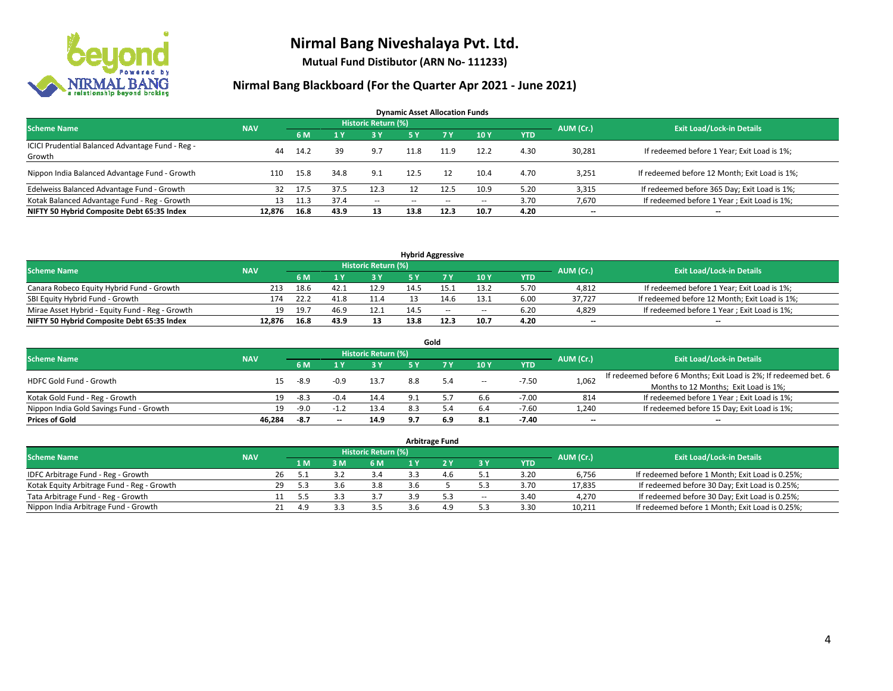

**Mutual Fund Distibutor (ARN No- 111233)**

| <b>Dynamic Asset Allocation Funds</b>            |            |      |                |                          |               |       |       |            |           |                                               |  |  |  |
|--------------------------------------------------|------------|------|----------------|--------------------------|---------------|-------|-------|------------|-----------|-----------------------------------------------|--|--|--|
| <b>Scheme Name</b>                               | <b>NAV</b> |      |                | Historic Return (%)      |               |       |       |            | AUM (Cr.) | <b>Exit Load/Lock-in Details</b>              |  |  |  |
|                                                  |            | 6 M  | 1 <sup>1</sup> | 3 Y                      | <b>5 Y</b>    | 7Y    | 10Y   | <b>YTD</b> |           |                                               |  |  |  |
| ICICI Prudential Balanced Advantage Fund - Reg - | 44         | 14.2 | 39             | 9.7                      | 11.8          | 11.9  | 12.2  | 4.30       | 30,281    | If redeemed before 1 Year; Exit Load is 1%;   |  |  |  |
| Growth                                           |            |      |                |                          |               |       |       |            |           |                                               |  |  |  |
| Nippon India Balanced Advantage Fund - Growth    | 110        | 15.8 | 34.8           | 9.1                      | 12.5          | 12    | 10.4  | 4.70       | 3,251     | If redeemed before 12 Month; Exit Load is 1%; |  |  |  |
| Edelweiss Balanced Advantage Fund - Growth       | 32         | 17.5 | 37.5           | 12.3                     |               | 12.5  | 10.9  | 5.20       | 3,315     | If redeemed before 365 Day; Exit Load is 1%;  |  |  |  |
| Kotak Balanced Advantage Fund - Reg - Growth     | 13         | 11.3 | 37.4           | $\overline{\phantom{a}}$ | $\sim$ $\sim$ | $- -$ | $- -$ | 3.70       | 7,670     | If redeemed before 1 Year; Exit Load is 1%;   |  |  |  |
| NIFTY 50 Hybrid Composite Debt 65:35 Index       | 12.876     | 16.8 | 43.9           | 13                       | 13.8          | 12.3  | 10.7  | 4.20       | $- -$     | --                                            |  |  |  |

| <b>Hybrid Aggressive</b>                        |            |       |      |                     |      |        |                          |      |           |                                               |  |  |  |
|-------------------------------------------------|------------|-------|------|---------------------|------|--------|--------------------------|------|-----------|-----------------------------------------------|--|--|--|
| <b>Scheme Name</b>                              | <b>NAV</b> |       |      | Historic Return (%) |      |        |                          |      | AUM (Cr.) | <b>Exit Load/Lock-in Details</b>              |  |  |  |
|                                                 |            | 6 M   |      | 3 Y                 |      |        | 10Y                      | YTD  |           |                                               |  |  |  |
| Canara Robeco Equity Hybrid Fund - Growth       | 213        | 18.6  | 42.1 | 12.9                |      |        | 13.2                     | 5.70 | 4,812     | If redeemed before 1 Year; Exit Load is 1%;   |  |  |  |
| SBI Equity Hybrid Fund - Growth                 | 174        | 22.7  | 41.8 | 11.4                |      |        | 13.1                     | 6.00 | 37.727    | If redeemed before 12 Month; Exit Load is 1%; |  |  |  |
| Mirae Asset Hybrid - Equity Fund - Reg - Growth | 19         | -19.7 | 46.9 | 12.1                | 14.5 | $\sim$ | $\overline{\phantom{a}}$ | 6.20 | 4,829     | If redeemed before 1 Year; Exit Load is 1%;   |  |  |  |
| NIFTY 50 Hybrid Composite Debt 65:35 Index      | 12.876     | 16.8  | 43.9 | 13                  | 13.8 |        | 10.7                     | 4.20 | $-$       | $- -$                                         |  |  |  |

| Gold                                    |            |        |        |                            |            |     |                          |            |                          |                                                                  |  |  |  |
|-----------------------------------------|------------|--------|--------|----------------------------|------------|-----|--------------------------|------------|--------------------------|------------------------------------------------------------------|--|--|--|
| <b>Scheme Name</b>                      | <b>NAV</b> |        |        | <b>Historic Return (%)</b> |            |     |                          |            | AUM (Cr.)                | <b>Exit Load/Lock-in Details</b>                                 |  |  |  |
|                                         |            | 6 M    |        | <b>3Y</b>                  | <b>5 Y</b> | 7 V | 10Y                      | <b>YTD</b> |                          |                                                                  |  |  |  |
| <b>HDFC Gold Fund - Growth</b>          | 15         | -8.9   | $-0.9$ | 13.7                       | 8.8        | 5.4 | $\overline{\phantom{a}}$ | $-7.50$    | 1,062                    | If redeemed before 6 Months; Exit Load is 2%; If redeemed bet. 6 |  |  |  |
|                                         |            |        |        |                            |            |     |                          |            |                          | Months to 12 Months; Exit Load is 1%;                            |  |  |  |
| Kotak Gold Fund - Reg - Growth          | 19         | -8.3   | $-0.4$ | 14.4                       |            |     | 6.6                      | $-7.00$    | 814                      | If redeemed before 1 Year; Exit Load is 1%;                      |  |  |  |
| Nippon India Gold Savings Fund - Growth | 19         | $-9.0$ |        | 13.4                       |            |     | 6.4                      | $-7.60$    | 1,240                    | If redeemed before 15 Day; Exit Load is 1%;                      |  |  |  |
| <b>Prices of Gold</b>                   | 46.284     | -8.7   | $- -$  | 14.9                       | 9.7        | 6.9 | 8.1                      | $-7.40$    | $\overline{\phantom{a}}$ | --                                                               |  |  |  |

| Arbitrage Fund                             |            |           |                                  |     |     |     |     |        |            |        |                                                 |  |  |  |
|--------------------------------------------|------------|-----------|----------------------------------|-----|-----|-----|-----|--------|------------|--------|-------------------------------------------------|--|--|--|
| <b>Scheme Name</b>                         | <b>NAV</b> | AUM (Cr.) | <b>Exit Load/Lock-in Details</b> |     |     |     |     |        |            |        |                                                 |  |  |  |
|                                            |            |           | 1 M                              | 3 M | 6 M |     |     | 3 Y    | <b>YTD</b> |        |                                                 |  |  |  |
| IDFC Arbitrage Fund - Reg - Growth         |            | 26        |                                  |     | 3.4 |     | 4.6 |        | 3.20       | 6,756  | If redeemed before 1 Month; Exit Load is 0.25%; |  |  |  |
| Kotak Equity Arbitrage Fund - Reg - Growth |            | 29        | 5.3                              | 3.6 | 3.8 | 3.6 |     |        | 3.70       | 17,835 | If redeemed before 30 Day; Exit Load is 0.25%;  |  |  |  |
| Tata Arbitrage Fund - Reg - Growth         |            |           |                                  |     |     |     | 5.3 | $\sim$ | 3.40       | 4.270  | If redeemed before 30 Day; Exit Load is 0.25%;  |  |  |  |
| Nippon India Arbitrage Fund - Growth       |            |           | 4.9                              |     |     |     | 4.9 |        | 3.30       | 10,211 | If redeemed before 1 Month; Exit Load is 0.25%; |  |  |  |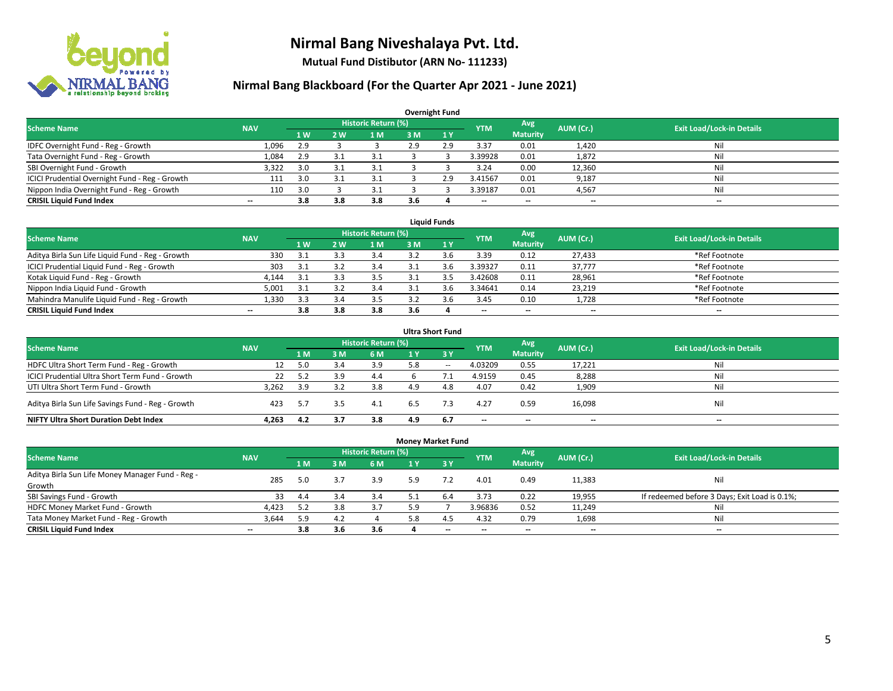

**Mutual Fund Distibutor (ARN No- 111233)**

| <b>Overnight Fund</b>                          |                          |              |     |                            |     |     |            |                          |           |                                  |  |  |  |  |
|------------------------------------------------|--------------------------|--------------|-----|----------------------------|-----|-----|------------|--------------------------|-----------|----------------------------------|--|--|--|--|
| <b>Scheme Name</b>                             | <b>NAV</b>               |              |     | <b>Historic Return (%)</b> |     |     | <b>YTM</b> | Avg                      | AUM (Cr.) | <b>Exit Load/Lock-in Details</b> |  |  |  |  |
|                                                |                          | $\sqrt{1}$ W | 2 W | 1 M                        | 3 M | 1Y  |            | <b>Maturity</b>          |           |                                  |  |  |  |  |
| IDFC Overnight Fund - Reg - Growth             | 1,096                    | 2.9          |     |                            | 2.9 | 2.9 | 3.37       | 0.01                     | 1,420     | Nil                              |  |  |  |  |
| Tata Overnight Fund - Reg - Growth             | 1,084                    | 2.9          | 3.1 | 3.1                        |     |     | 3.39928    | 0.01                     | 1,872     | Nil                              |  |  |  |  |
| SBI Overnight Fund - Growth                    | 3,322                    | 3.0          | 3.1 | 3.1                        |     |     | 3.24       | 0.00                     | 12,360    | Nil                              |  |  |  |  |
| ICICI Prudential Overnight Fund - Reg - Growth | 111                      | 3.0          |     | 3.1                        |     | 2.9 | 3.41567    | 0.01                     | 9,187     | Nil                              |  |  |  |  |
| Nippon India Overnight Fund - Reg - Growth     | 110                      | 3.0          |     | 3.1                        |     |     | 3.39187    | 0.01                     | 4,567     | Nil                              |  |  |  |  |
| <b>CRISIL Liquid Fund Index</b>                | $\overline{\phantom{a}}$ | 3.8          | 3.8 | 3.8                        | 3.6 |     | --         | $\overline{\phantom{a}}$ | --        | $-$                              |  |  |  |  |

| <b>Liquid Funds</b>                              |            |           |     |                            |     |     |                          |                          |                          |                                  |  |  |  |
|--------------------------------------------------|------------|-----------|-----|----------------------------|-----|-----|--------------------------|--------------------------|--------------------------|----------------------------------|--|--|--|
| <b>Scheme Name</b>                               | <b>NAV</b> |           |     | <b>Historic Return (%)</b> |     |     | <b>YTM</b>               | Avg                      | AUM (Cr.)                | <b>Exit Load/Lock-in Details</b> |  |  |  |
|                                                  |            | <b>1W</b> | 2 W | 1 M                        | 3 M |     |                          | <b>Maturity</b>          |                          |                                  |  |  |  |
| Aditya Birla Sun Life Liquid Fund - Reg - Growth | 330        | 3.1       |     | 3.4                        |     |     | 3.39                     | 0.12                     | 27,433                   | *Ref Footnote                    |  |  |  |
| ICICI Prudential Liquid Fund - Reg - Growth      | 303        | 3.1       |     | 3.4                        |     | 3.6 | 3.39327                  | 0.11                     | 37,777                   | *Ref Footnote                    |  |  |  |
| Kotak Liquid Fund - Reg - Growth                 | 4.144      |           |     | 3.5                        |     |     | 3.42608                  | 0.11                     | 28,961                   | *Ref Footnote                    |  |  |  |
| Nippon India Liquid Fund - Growth                | 5,001      | -3.1      |     | 3.4                        |     |     | 3.34641                  | 0.14                     | 23,219                   | *Ref Footnote                    |  |  |  |
| Mahindra Manulife Liquid Fund - Reg - Growth     | 1,330      | 3.3       |     | 3.5                        |     |     | 3.45                     | 0.10                     | 1,728                    | *Ref Footnote                    |  |  |  |
| <b>CRISIL Liquid Fund Index</b>                  | $- -$      | 3.8       | 3.8 | 3.8                        | 3.6 |     | $\overline{\phantom{a}}$ | $\overline{\phantom{a}}$ | $\overline{\phantom{a}}$ | $-$                              |  |  |  |

| <b>Ultra Short Fund</b>                                                                                                              |       |     |     |     |     |              |                          |                          |                          |     |  |  |  |  |
|--------------------------------------------------------------------------------------------------------------------------------------|-------|-----|-----|-----|-----|--------------|--------------------------|--------------------------|--------------------------|-----|--|--|--|--|
| <b>Historic Return (%)</b><br>Avg<br><b>Exit Load/Lock-in Details</b><br><b>NAV</b><br>AUM (Cr.)<br><b>Scheme Name</b><br><b>YTM</b> |       |     |     |     |     |              |                          |                          |                          |     |  |  |  |  |
|                                                                                                                                      |       | 1 M | sм  | 6 M | 1 Y | $\sqrt{3}$ Y |                          | <b>Maturity</b>          |                          |     |  |  |  |  |
| HDFC Ultra Short Term Fund - Reg - Growth                                                                                            | 12    | 5.0 | 3.4 | 3.9 | 5.8 | $\sim$       | 4.03209                  | 0.55                     | 17,221                   | Nil |  |  |  |  |
| ICICI Prudential Ultra Short Term Fund - Growth                                                                                      | 22    | 5.2 |     | 4.4 |     |              | 4.9159                   | 0.45                     | 8,288                    | Nil |  |  |  |  |
| UTI Ultra Short Term Fund - Growth                                                                                                   | 3,262 | 3.9 |     | 3.8 |     | 4.8          | 4.07                     | 0.42                     | 1,909                    | Nil |  |  |  |  |
| Aditya Birla Sun Life Savings Fund - Reg - Growth                                                                                    | 423   | 5.7 | 3.5 | 4.1 | 6.5 | 7.3          | 4.27                     | 0.59                     | 16,098                   | Nil |  |  |  |  |
| <b>NIFTY Ultra Short Duration Debt Index</b>                                                                                         | 4.263 | 4.2 |     | 3.8 | 4.9 | 6.7          | $\overline{\phantom{a}}$ | $\overline{\phantom{a}}$ | $\overline{\phantom{a}}$ | $-$ |  |  |  |  |

| <b>Money Market Fund</b>                                                                                                             |       |                |     |     |     |       |         |                          |        |                                               |  |  |  |  |
|--------------------------------------------------------------------------------------------------------------------------------------|-------|----------------|-----|-----|-----|-------|---------|--------------------------|--------|-----------------------------------------------|--|--|--|--|
| <b>Historic Return (%)</b><br>Avg<br><b>Scheme Name</b><br><b>Exit Load/Lock-in Details</b><br>AUM (Cr.)<br><b>NAV</b><br><b>YTM</b> |       |                |     |     |     |       |         |                          |        |                                               |  |  |  |  |
|                                                                                                                                      |       | 1 <sub>M</sub> | 3M  | 6 M |     | $-3V$ |         | <b>Maturity</b>          |        |                                               |  |  |  |  |
| Aditya Birla Sun Life Money Manager Fund - Reg -<br>Growth                                                                           | 285   | 5.0            | 3.7 | 3.9 | 5.9 |       | 4.01    | 0.49                     | 11,383 | Nil                                           |  |  |  |  |
| SBI Savings Fund - Growth                                                                                                            | 33    | 4.4            | 3.4 | 3.4 |     | 6.4   | 3.73    | 0.22                     | 19,955 | If redeemed before 3 Days; Exit Load is 0.1%; |  |  |  |  |
| HDFC Money Market Fund - Growth                                                                                                      | 4,423 | 5.2            | 3.8 | 3.7 | 5.9 |       | 3.96836 | 0.52                     | 11,249 | Nil                                           |  |  |  |  |
| Tata Money Market Fund - Reg - Growth                                                                                                | 3,644 | 5.9            | 4.2 |     | 5.8 | 4.5   | 4.32    | 0.79                     | 1,698  | Nil                                           |  |  |  |  |
| <b>CRISIL Liquid Fund Index</b>                                                                                                      | $- -$ | 3.8            | 3.6 | 3.6 |     | $-$   | --      | $\overline{\phantom{a}}$ | $- -$  | $-$                                           |  |  |  |  |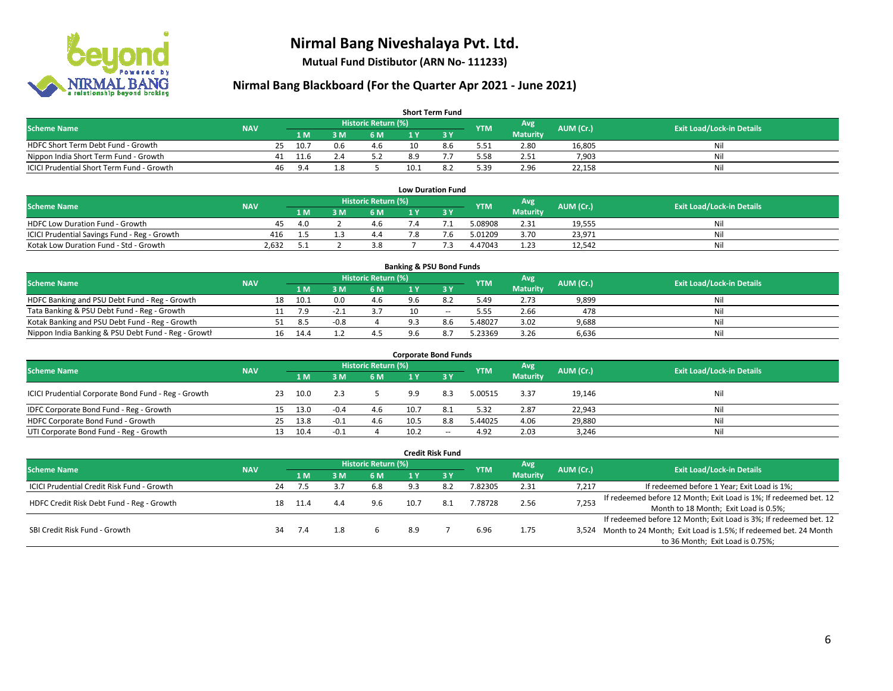

**Mutual Fund Distibutor (ARN No- 111233)**

| <b>Short Term Fund</b>                    |            |    |      |     |                            |      |     |            |                 |           |                                  |  |  |  |
|-------------------------------------------|------------|----|------|-----|----------------------------|------|-----|------------|-----------------|-----------|----------------------------------|--|--|--|
| <b>Scheme Name</b>                        | <b>NAV</b> |    |      |     | <b>Historic Return (%)</b> |      |     | <b>YTM</b> | Avg             | AUM (Cr.) | <b>Exit Load/Lock-in Details</b> |  |  |  |
|                                           |            |    |      | 3 M | 6 M                        | 1 V  |     |            | <b>Maturity</b> |           |                                  |  |  |  |
| HDFC Short Term Debt Fund - Growth        |            | 25 | 10.7 |     | 4.6                        | 10   | 8.6 | 5.51       | 2.80            | 16,805    | Nil                              |  |  |  |
| Nippon India Short Term Fund - Growth     |            | 41 | 11.6 |     |                            | 8.9  |     | 5.58       | 2.51            | 7,903     | Nil                              |  |  |  |
| ICICI Prudential Short Term Fund - Growth |            | 46 | 9.4  |     |                            | 10.1 |     | 5.39       | 2.96            | 22,158    | Nil                              |  |  |  |

| <b>Low Duration Fund</b>                     |            |       |  |                     |     |           |            |                 |           |                                  |  |  |  |  |
|----------------------------------------------|------------|-------|--|---------------------|-----|-----------|------------|-----------------|-----------|----------------------------------|--|--|--|--|
| <b>Scheme Name</b>                           | <b>NAV</b> |       |  | Historic Return (%) |     |           | <b>YTM</b> | Avg             | AUM (Cr.) | <b>Exit Load/Lock-in Details</b> |  |  |  |  |
|                                              |            | '1 M. |  | 6 M                 |     |           |            | <b>Maturity</b> |           |                                  |  |  |  |  |
| <b>HDFC Low Duration Fund - Growth</b>       | 45         | 40    |  | 4.6                 | 7.4 |           | 5.08908    | 2.31            | 19,555    | Nil                              |  |  |  |  |
| ICICI Prudential Savings Fund - Reg - Growth | 416        |       |  | 4.4                 | 7.8 | $\cdot$ b | 5.01209    | 3.70            | 23,971    | Nil                              |  |  |  |  |
| Kotak Low Duration Fund - Std - Growth       | 2.632      |       |  |                     |     |           | 4.47043    | 1.23            | 12,542    | Nil                              |  |  |  |  |

| <b>Banking &amp; PSU Bond Funds</b>                 |            |    |      |        |                     |     |     |            |                 |           |                                  |  |  |  |
|-----------------------------------------------------|------------|----|------|--------|---------------------|-----|-----|------------|-----------------|-----------|----------------------------------|--|--|--|
| <b>Scheme Name</b>                                  | <b>NAV</b> |    |      |        | Historic Return (%) |     |     | <b>YTM</b> | Avg             | AUM (Cr.) | <b>Exit Load/Lock-in Details</b> |  |  |  |
|                                                     |            |    | 1 M  | . M    | <b>6M</b>           |     |     |            | <b>Maturity</b> |           |                                  |  |  |  |
| HDFC Banking and PSU Debt Fund - Reg - Growth       |            | 18 | 10.1 | 0.0    | 4.6                 | ⁄.b |     | 5.49       | 2.73            | 9,899     | Nil                              |  |  |  |
| Tata Banking & PSU Debt Fund - Reg - Growth         |            |    |      | - 1    |                     |     | $-$ | 5.55       | 2.66            | 478       | Nil                              |  |  |  |
| Kotak Banking and PSU Debt Fund - Reg - Growth      |            |    | 8.5  | $-0.8$ |                     |     | 8.6 | 5.48027    | 3.02            | 9,688     | Nil                              |  |  |  |
| Nippon India Banking & PSU Debt Fund - Reg - Growth |            | 16 | 14.4 |        | 4.J                 | .6  |     | 5.23369    | 3.26            | 6,636     | Nil                              |  |  |  |

| <b>Corporate Bond Funds</b>                         |            |    |      |        |                     |      |           |            |                 |           |                                  |  |  |
|-----------------------------------------------------|------------|----|------|--------|---------------------|------|-----------|------------|-----------------|-----------|----------------------------------|--|--|
| <b>Scheme Name</b>                                  | <b>NAV</b> |    |      |        | Historic Return (%) |      |           | <b>YTM</b> | Avg             | AUM (Cr.) | <b>Exit Load/Lock-in Details</b> |  |  |
|                                                     |            |    | 1 M  | 3 M    | 6 M                 |      | <b>3Y</b> |            | <b>Maturity</b> |           |                                  |  |  |
| ICICI Prudential Corporate Bond Fund - Reg - Growth |            | 23 | 10.0 |        |                     | 9.9  | 8.3       | 5.00515    | 3.37            | 19,146    | Nil                              |  |  |
| IDFC Corporate Bond Fund - Reg - Growth             |            |    | 13.0 | $-0.4$ | 4.6                 | 10.7 | -8.1      | 5.32       | 2.87            | 22,943    | Nil                              |  |  |
| HDFC Corporate Bond Fund - Growth                   |            | 25 | 13.8 | $-0.1$ | 4.6                 | 10.5 | 8.8       | 5.44025    | 4.06            | 29,880    | Nil                              |  |  |
| UTI Corporate Bond Fund - Reg - Growth              |            |    | 10.4 | $-0.1$ |                     | 10.2 | $- -$     | 4.92       | 2.03            | 3,246     | Nil                              |  |  |

|                                            |            |    |      |     |                            |      | <b>Credit Risk Fund</b> |            |                        |           |                                                                       |
|--------------------------------------------|------------|----|------|-----|----------------------------|------|-------------------------|------------|------------------------|-----------|-----------------------------------------------------------------------|
| <b>Scheme Name</b>                         | <b>NAV</b> |    |      |     | <b>Historic Return (%)</b> |      |                         | <b>YTM</b> | Avg<br><b>Maturity</b> | AUM (Cr.) | <b>Exit Load/Lock-in Details</b>                                      |
|                                            |            |    | 1 M  | 3 M | 6 M                        | 1 Y  | $\overline{3}$ Y        |            |                        |           |                                                                       |
| ICICI Prudential Credit Risk Fund - Growth |            | 24 | 7.5  |     | 6.8                        | 9.3  | -8.2                    | 7.82305    | 2.31                   | 7.217     | If redeemed before 1 Year; Exit Load is 1%;                           |
| HDFC Credit Risk Debt Fund - Reg - Growth  |            | 18 | 11.4 | 4.4 | 9.6                        | 10.7 | - 8.1                   | 7.78728    | 2.56                   | 7,253     | If redeemed before 12 Month; Exit Load is 1%; If redeemed bet. 12     |
|                                            |            |    |      |     |                            |      |                         |            |                        |           | Month to 18 Month; Exit Load is 0.5%;                                 |
|                                            |            |    |      |     |                            |      |                         |            |                        |           | If redeemed before 12 Month; Exit Load is 3%; If redeemed bet. 12     |
| SBI Credit Risk Fund - Growth              |            | 34 | 7.4  |     |                            | 8.9  |                         | 6.96       | 1.75                   |           | 3,524 Month to 24 Month; Exit Load is 1.5%; If redeemed bet. 24 Month |
|                                            |            |    |      |     |                            |      |                         |            |                        |           | to 36 Month; Exit Load is 0.75%;                                      |